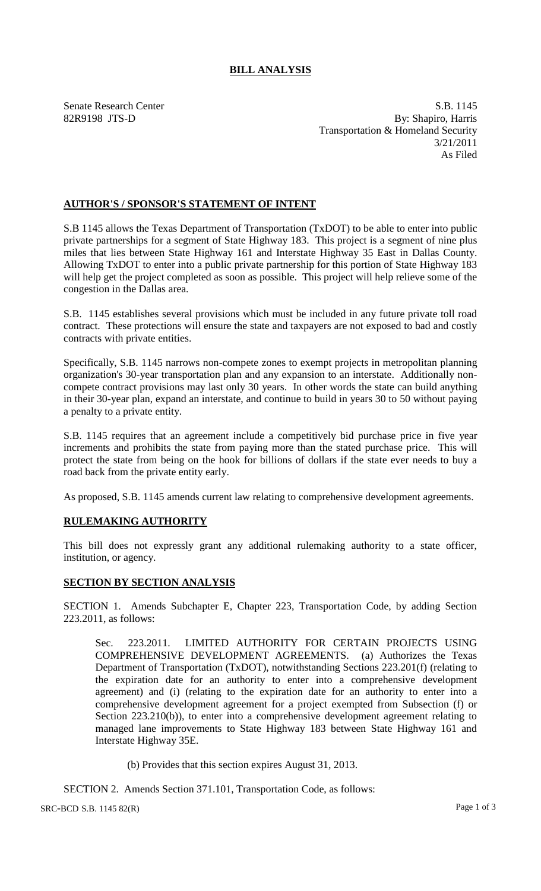## **BILL ANALYSIS**

Senate Research Center S.B. 1145 82R9198 JTS-D By: Shapiro, Harris Transportation & Homeland Security 3/21/2011 As Filed

## **AUTHOR'S / SPONSOR'S STATEMENT OF INTENT**

S.B 1145 allows the Texas Department of Transportation (TxDOT) to be able to enter into public private partnerships for a segment of State Highway 183. This project is a segment of nine plus miles that lies between State Highway 161 and Interstate Highway 35 East in Dallas County. Allowing TxDOT to enter into a public private partnership for this portion of State Highway 183 will help get the project completed as soon as possible. This project will help relieve some of the congestion in the Dallas area.

S.B. 1145 establishes several provisions which must be included in any future private toll road contract. These protections will ensure the state and taxpayers are not exposed to bad and costly contracts with private entities.

Specifically, S.B. 1145 narrows non-compete zones to exempt projects in metropolitan planning organization's 30-year transportation plan and any expansion to an interstate. Additionally noncompete contract provisions may last only 30 years. In other words the state can build anything in their 30-year plan, expand an interstate, and continue to build in years 30 to 50 without paying a penalty to a private entity.

S.B. 1145 requires that an agreement include a competitively bid purchase price in five year increments and prohibits the state from paying more than the stated purchase price. This will protect the state from being on the hook for billions of dollars if the state ever needs to buy a road back from the private entity early.

As proposed, S.B. 1145 amends current law relating to comprehensive development agreements.

## **RULEMAKING AUTHORITY**

This bill does not expressly grant any additional rulemaking authority to a state officer, institution, or agency.

## **SECTION BY SECTION ANALYSIS**

SECTION 1. Amends Subchapter E, Chapter 223, Transportation Code, by adding Section 223.2011, as follows:

Sec. 223.2011. LIMITED AUTHORITY FOR CERTAIN PROJECTS USING COMPREHENSIVE DEVELOPMENT AGREEMENTS. (a) Authorizes the Texas Department of Transportation (TxDOT), notwithstanding Sections 223.201(f) (relating to the expiration date for an authority to enter into a comprehensive development agreement) and (i) (relating to the expiration date for an authority to enter into a comprehensive development agreement for a project exempted from Subsection (f) or Section 223.210(b)), to enter into a comprehensive development agreement relating to managed lane improvements to State Highway 183 between State Highway 161 and Interstate Highway 35E.

(b) Provides that this section expires August 31, 2013.

SECTION 2. Amends Section 371.101, Transportation Code, as follows:

 $SRC-BCD S.B. 1145 82(R)$  Page 1 of 3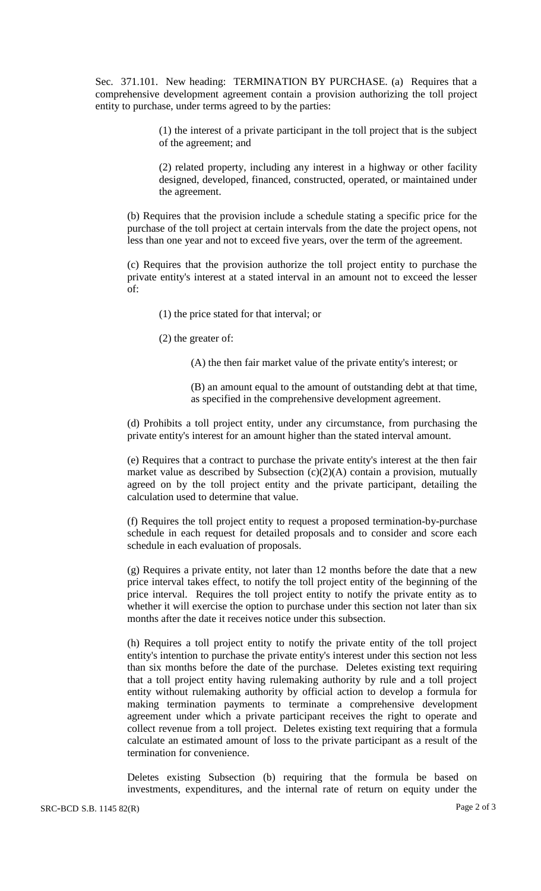Sec. 371.101. New heading: TERMINATION BY PURCHASE. (a) Requires that a comprehensive development agreement contain a provision authorizing the toll project entity to purchase, under terms agreed to by the parties:

> (1) the interest of a private participant in the toll project that is the subject of the agreement; and

> (2) related property, including any interest in a highway or other facility designed, developed, financed, constructed, operated, or maintained under the agreement.

(b) Requires that the provision include a schedule stating a specific price for the purchase of the toll project at certain intervals from the date the project opens, not less than one year and not to exceed five years, over the term of the agreement.

(c) Requires that the provision authorize the toll project entity to purchase the private entity's interest at a stated interval in an amount not to exceed the lesser of:

(1) the price stated for that interval; or

(2) the greater of:

(A) the then fair market value of the private entity's interest; or

(B) an amount equal to the amount of outstanding debt at that time, as specified in the comprehensive development agreement.

(d) Prohibits a toll project entity, under any circumstance, from purchasing the private entity's interest for an amount higher than the stated interval amount.

(e) Requires that a contract to purchase the private entity's interest at the then fair market value as described by Subsection  $(c)(2)(A)$  contain a provision, mutually agreed on by the toll project entity and the private participant, detailing the calculation used to determine that value.

(f) Requires the toll project entity to request a proposed termination-by-purchase schedule in each request for detailed proposals and to consider and score each schedule in each evaluation of proposals.

(g) Requires a private entity, not later than 12 months before the date that a new price interval takes effect, to notify the toll project entity of the beginning of the price interval. Requires the toll project entity to notify the private entity as to whether it will exercise the option to purchase under this section not later than six months after the date it receives notice under this subsection.

(h) Requires a toll project entity to notify the private entity of the toll project entity's intention to purchase the private entity's interest under this section not less than six months before the date of the purchase. Deletes existing text requiring that a toll project entity having rulemaking authority by rule and a toll project entity without rulemaking authority by official action to develop a formula for making termination payments to terminate a comprehensive development agreement under which a private participant receives the right to operate and collect revenue from a toll project. Deletes existing text requiring that a formula calculate an estimated amount of loss to the private participant as a result of the termination for convenience.

Deletes existing Subsection (b) requiring that the formula be based on investments, expenditures, and the internal rate of return on equity under the